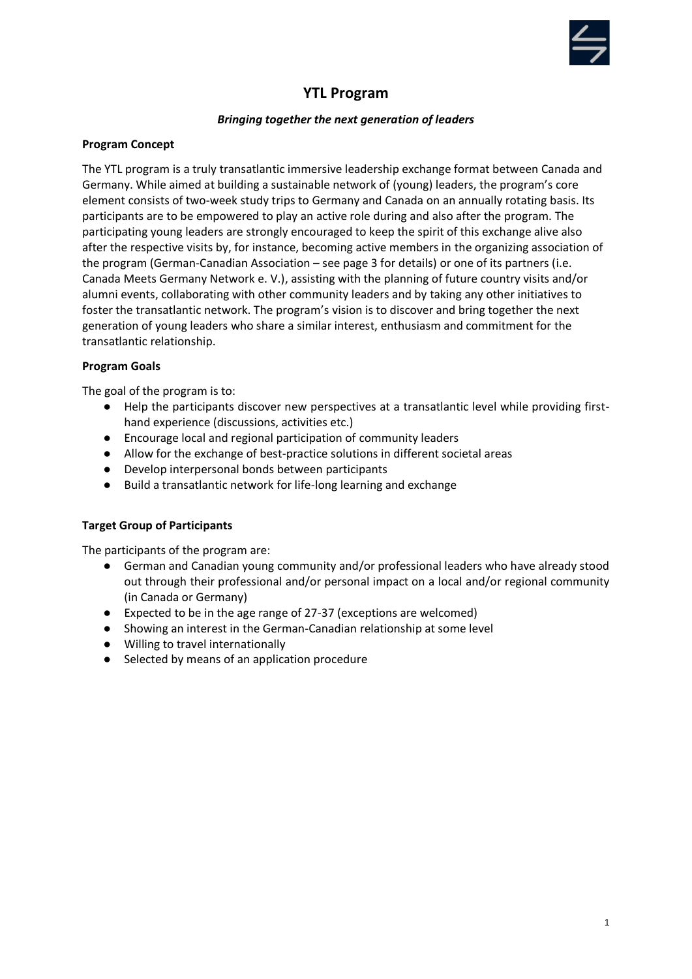

# **YTL Program**

# *Bringing together the next generation of leaders*

#### **Program Concept**

The YTL program is a truly transatlantic immersive leadership exchange format between Canada and Germany. While aimed at building a sustainable network of (young) leaders, the program's core element consists of two-week study trips to Germany and Canada on an annually rotating basis. Its participants are to be empowered to play an active role during and also after the program. The participating young leaders are strongly encouraged to keep the spirit of this exchange alive also after the respective visits by, for instance, becoming active members in the organizing association of the program (German-Canadian Association – see page 3 for details) or one of its partners (i.e. Canada Meets Germany Network e. V.), assisting with the planning of future country visits and/or alumni events, collaborating with other community leaders and by taking any other initiatives to foster the transatlantic network. The program's vision is to discover and bring together the next generation of young leaders who share a similar interest, enthusiasm and commitment for the transatlantic relationship.

## **Program Goals**

The goal of the program is to:

- Help the participants discover new perspectives at a transatlantic level while providing firsthand experience (discussions, activities etc.)
- Encourage local and regional participation of community leaders
- Allow for the exchange of best-practice solutions in different societal areas
- Develop interpersonal bonds between participants
- Build a transatlantic network for life-long learning and exchange

# **Target Group of Participants**

The participants of the program are:

- German and Canadian young community and/or professional leaders who have already stood out through their professional and/or personal impact on a local and/or regional community (in Canada or Germany)
- Expected to be in the age range of 27-37 (exceptions are welcomed)
- Showing an interest in the German-Canadian relationship at some level
- Willing to travel internationally
- Selected by means of an application procedure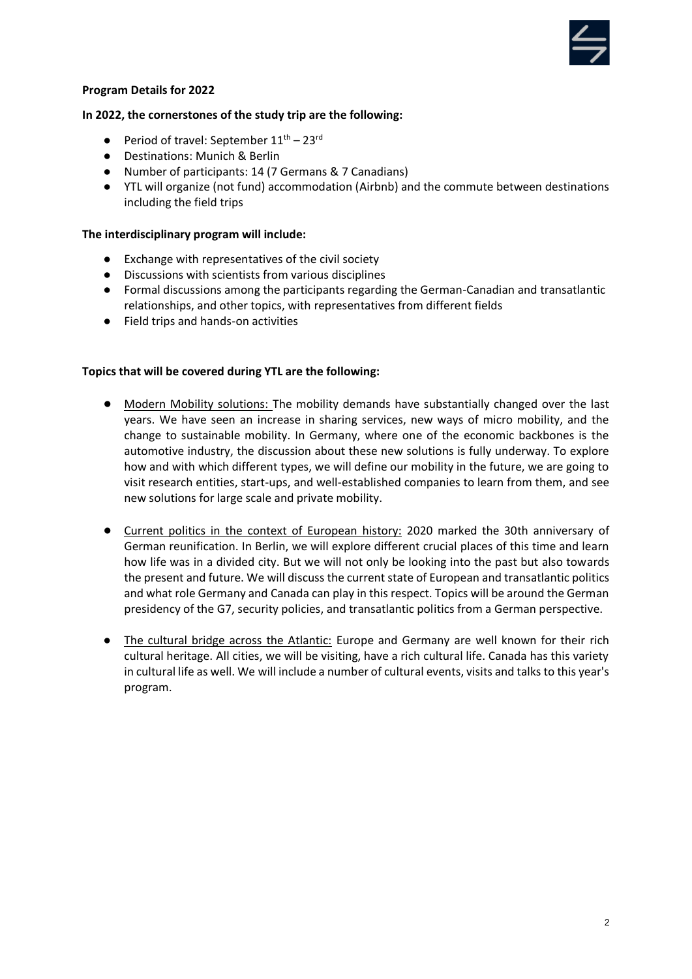

#### **Program Details for 2022**

#### **In 2022, the cornerstones of the study trip are the following:**

- **•** Period of travel: September  $11^{\text{th}} 23^{\text{rd}}$
- Destinations: Munich & Berlin
- Number of participants: 14 (7 Germans & 7 Canadians)
- YTL will organize (not fund) accommodation (Airbnb) and the commute between destinations including the field trips

#### **The interdisciplinary program will include:**

- Exchange with representatives of the civil society
- Discussions with scientists from various disciplines
- Formal discussions among the participants regarding the German-Canadian and transatlantic relationships, and other topics, with representatives from different fields
- Field trips and hands-on activities

#### **Topics that will be covered during YTL are the following:**

- Modern Mobility solutions: The mobility demands have substantially changed over the last years. We have seen an increase in sharing services, new ways of micro mobility, and the change to sustainable mobility. In Germany, where one of the economic backbones is the automotive industry, the discussion about these new solutions is fully underway. To explore how and with which different types, we will define our mobility in the future, we are going to visit research entities, start-ups, and well-established companies to learn from them, and see new solutions for large scale and private mobility.
- Current politics in the context of European history: 2020 marked the 30th anniversary of German reunification. In Berlin, we will explore different crucial places of this time and learn how life was in a divided city. But we will not only be looking into the past but also towards the present and future. We will discuss the current state of European and transatlantic politics and what role Germany and Canada can play in this respect. Topics will be around the German presidency of the G7, security policies, and transatlantic politics from a German perspective.
- The cultural bridge across the Atlantic: Europe and Germany are well known for their rich cultural heritage. All cities, we will be visiting, have a rich cultural life. Canada has this variety in cultural life as well. We will include a number of cultural events, visits and talks to this year's program.